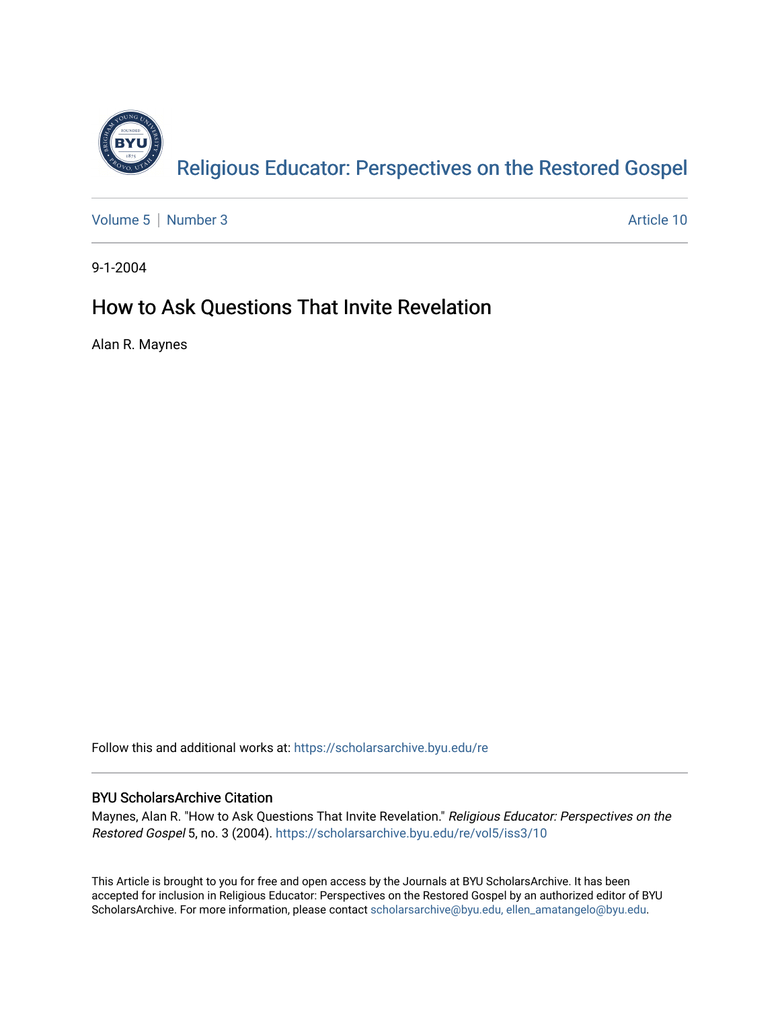

[Volume 5](https://scholarsarchive.byu.edu/re/vol5) | [Number 3](https://scholarsarchive.byu.edu/re/vol5/iss3) Article 10

9-1-2004

# How to Ask Questions That Invite Revelation

Alan R. Maynes

Follow this and additional works at: [https://scholarsarchive.byu.edu/re](https://scholarsarchive.byu.edu/re?utm_source=scholarsarchive.byu.edu%2Fre%2Fvol5%2Fiss3%2F10&utm_medium=PDF&utm_campaign=PDFCoverPages)

# BYU ScholarsArchive Citation

Maynes, Alan R. "How to Ask Questions That Invite Revelation." Religious Educator: Perspectives on the Restored Gospel 5, no. 3 (2004). [https://scholarsarchive.byu.edu/re/vol5/iss3/10](https://scholarsarchive.byu.edu/re/vol5/iss3/10?utm_source=scholarsarchive.byu.edu%2Fre%2Fvol5%2Fiss3%2F10&utm_medium=PDF&utm_campaign=PDFCoverPages) 

This Article is brought to you for free and open access by the Journals at BYU ScholarsArchive. It has been accepted for inclusion in Religious Educator: Perspectives on the Restored Gospel by an authorized editor of BYU ScholarsArchive. For more information, please contact [scholarsarchive@byu.edu, ellen\\_amatangelo@byu.edu.](mailto:scholarsarchive@byu.edu,%20ellen_amatangelo@byu.edu)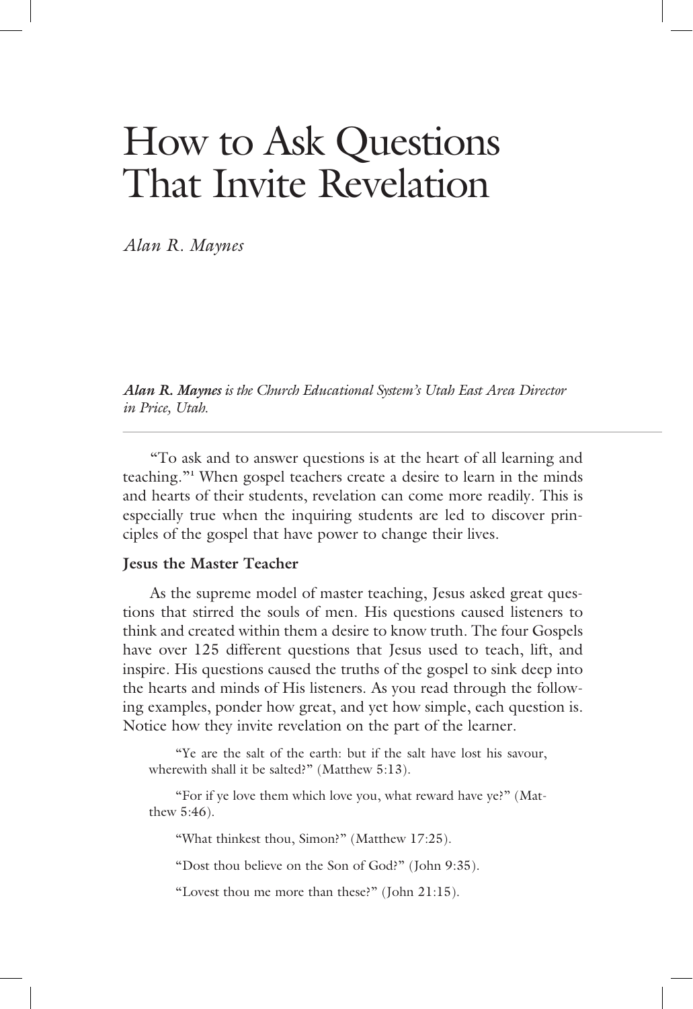# How to Ask Questions That Invite Revelation

*Alan R. Maynes* 

*Alan R. Maynes is the Church Educational System's Utah East Area Director is the Church Educational System's Utah East Area Director in Price, Utah.*

 "To ask and to answer questions is at the heart of all learning and teaching."**<sup>1</sup>** When gospel teachers create a desire to learn in the minds and hearts of their students, revelation can come more readily. This is especially true when the inquiring students are led to discover principles of the gospel that have power to change their lives.

# **Jesus the Master Teacher**

 As the supreme model of master teaching, Jesus asked great questions that stirred the souls of men. His questions caused listeners to think and created within them a desire to know truth. The four Gospels have over 125 different questions that Jesus used to teach, lift, and inspire. His questions caused the truths of the gospel to sink deep into the hearts and minds of His listeners. As you read through the following examples, ponder how great, and yet how simple, each question is. Notice how they invite revelation on the part of the learner.

 "Ye are the salt of the earth: but if the salt have lost his savour, wherewith shall it be salted?" (Matthew 5:13).

 "For if ye love them which love you, what reward have ye?" (Matthew 5:46).

"What thinkest thou, Simon?" (Matthew 17:25).

"Dost thou believe on the Son of God?" (John 9:35).

"Lovest thou me more than these?" (John 21:15).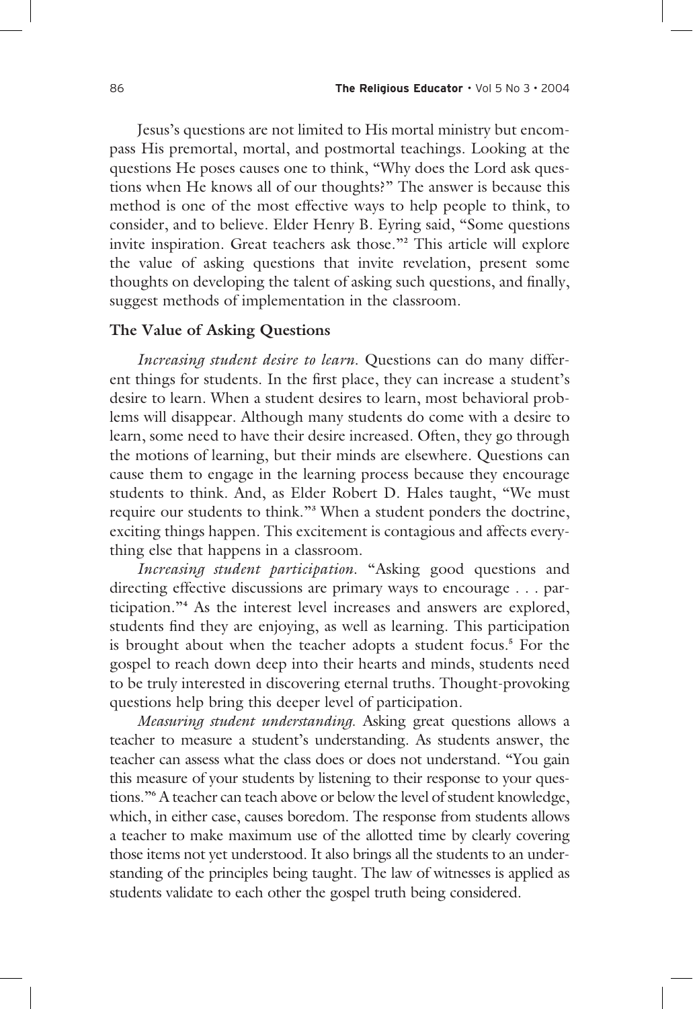Jesus's questions are not limited to His mortal ministry but encompass His premortal, mortal, and postmortal teachings. Looking at the questions He poses causes one to think, "Why does the Lord ask questions when He knows all of our thoughts?" The answer is because this method is one of the most effective ways to help people to think, to consider, and to believe. Elder Henry B. Eyring said, "Some questions invite inspiration. Great teachers ask those."**<sup>2</sup>** This article will explore the value of asking questions that invite revelation, present some thoughts on developing the talent of asking such questions, and finally, suggest methods of implementation in the classroom.

# **The Value of Asking Questions**

*Increasing student desire to learn*. Questions can do many different things for students. In the first place, they can increase a student's desire to learn. When a student desires to learn, most behavioral problems will disappear. Although many students do come with a desire to learn, some need to have their desire increased. Often, they go through the motions of learning, but their minds are elsewhere. Questions can cause them to engage in the learning process because they encourage students to think. And, as Elder Robert D. Hales taught, "We must require our students to think."**<sup>3</sup>** When a student ponders the doctrine, exciting things happen. This excitement is contagious and affects everything else that happens in a classroom.

*Increasing student participation*. "Asking good questions and directing effective discussions are primary ways to encourage . . . participation."**<sup>4</sup>** As the interest level increases and answers are explored, students find they are enjoying, as well as learning. This participation is brought about when the teacher adopts a student focus.**<sup>5</sup>** For the gospel to reach down deep into their hearts and minds, students need to be truly interested in discovering eternal truths. Thought-provoking questions help bring this deeper level of participation.

*Measuring student understanding*. Asking great questions allows a teacher to measure a student's understanding. As students answer, the teacher can assess what the class does or does not understand. "You gain this measure of your students by listening to their response to your questions."**<sup>6</sup>** A teacher can teach above or below the level of student knowledge, which, in either case, causes boredom. The response from students allows a teacher to make maximum use of the allotted time by clearly covering those items not yet understood. It also brings all the students to an understanding of the principles being taught. The law of witnesses is applied as students validate to each other the gospel truth being considered.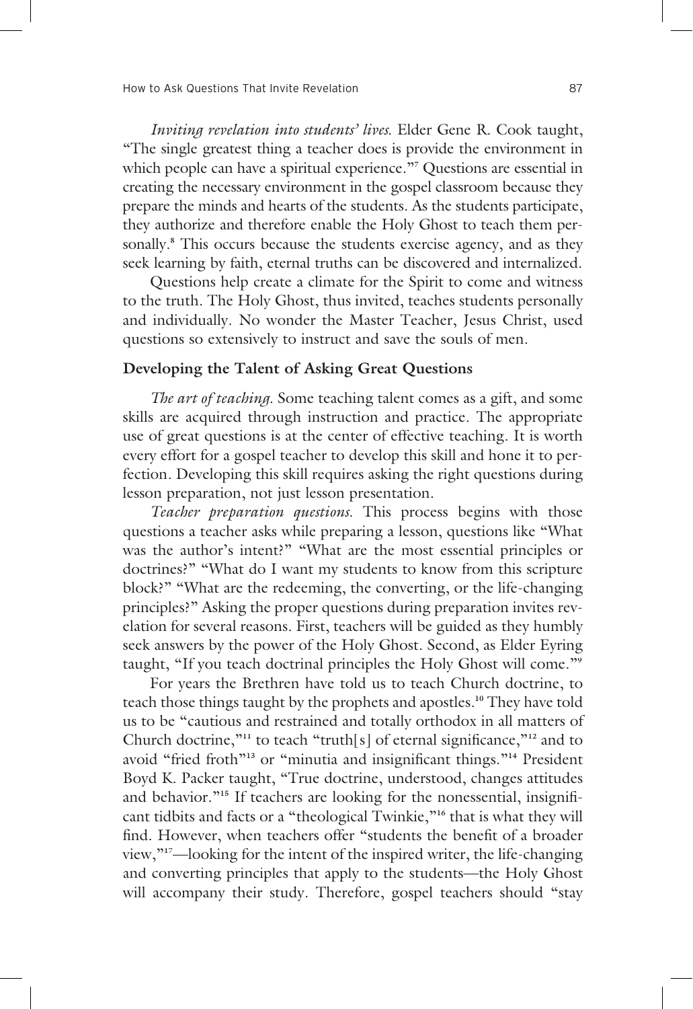*Inviting revelation into students' lives*. Elder Gene R. Cook taught, "The single greatest thing a teacher does is provide the environment in which people can have a spiritual experience."**<sup>7</sup>** Questions are essential in creating the necessary environment in the gospel classroom because they prepare the minds and hearts of the students. As the students participate, they authorize and therefore enable the Holy Ghost to teach them personally.**<sup>8</sup>** This occurs because the students exercise agency, and as they seek learning by faith, eternal truths can be discovered and internalized.

 Questions help create a climate for the Spirit to come and witness to the truth. The Holy Ghost, thus invited, teaches students personally and individually. No wonder the Master Teacher, Jesus Christ, used questions so extensively to instruct and save the souls of men.

## **Developing the Talent of Asking Great Questions**

*The art of teaching*. Some teaching talent comes as a gift, and some skills are acquired through instruction and practice. The appropriate use of great questions is at the center of effective teaching. It is worth every effort for a gospel teacher to develop this skill and hone it to perfection. Developing this skill requires asking the right questions during lesson preparation, not just lesson presentation.

*Teacher preparation questions*. This process begins with those questions a teacher asks while preparing a lesson, questions like "What was the author's intent?" "What are the most essential principles or doctrines?" "What do I want my students to know from this scripture block?" "What are the redeeming, the converting, or the life-changing principles?" Asking the proper questions during preparation invites revelation for several reasons. First, teachers will be guided as they humbly seek answers by the power of the Holy Ghost. Second, as Elder Eyring taught, "If you teach doctrinal principles the Holy Ghost will come."**<sup>9</sup>**

 For years the Brethren have told us to teach Church doctrine, to teach those things taught by the prophets and apostles.**10** They have told us to be "cautious and restrained and totally orthodox in all matters of Church doctrine,"<sup>11</sup> to teach "truth[s] of eternal significance,"<sup>12</sup> and to avoid "fried froth"<sup>13</sup> or "minutia and insignificant things."<sup>14</sup> President Boyd K. Packer taught, "True doctrine, understood, changes attitudes and behavior."<sup>15</sup> If teachers are looking for the nonessential, insignificant tidbits and facts or a "theological Twinkie,"**16** that is what they will find. However, when teachers offer "students the benefit of a broader view,"**17**—looking for the intent of the inspired writer, the life-changing and converting principles that apply to the students—the Holy Ghost will accompany their study. Therefore, gospel teachers should "stay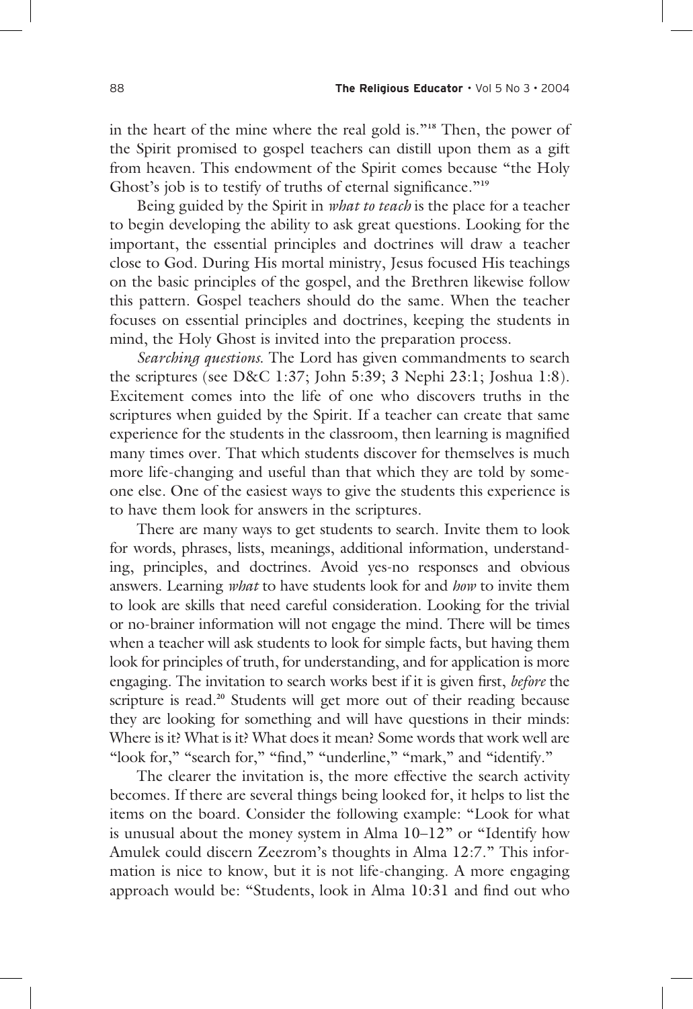in the heart of the mine where the real gold is."**18** Then, the power of the Spirit promised to gospel teachers can distill upon them as a gift from heaven. This endowment of the Spirit comes because "the Holy Ghost's job is to testify of truths of eternal significance."<sup>19</sup>

 Being guided by the Spirit in *what to teach* is the place for a teacher to begin developing the ability to ask great questions. Looking for the important, the essential principles and doctrines will draw a teacher close to God. During His mortal ministry, Jesus focused His teachings on the basic principles of the gospel, and the Brethren likewise follow this pattern. Gospel teachers should do the same. When the teacher focuses on essential principles and doctrines, keeping the students in mind, the Holy Ghost is invited into the preparation process.

*Searching questions*. The Lord has given commandments to search the scriptures (see D&C 1:37; John 5:39; 3 Nephi 23:1; Joshua 1:8). Excitement comes into the life of one who discovers truths in the scriptures when guided by the Spirit. If a teacher can create that same experience for the students in the classroom, then learning is magnified many times over. That which students discover for themselves is much more life-changing and useful than that which they are told by someone else. One of the easiest ways to give the students this experience is to have them look for answers in the scriptures.

 There are many ways to get students to search. Invite them to look for words, phrases, lists, meanings, additional information, understanding, principles, and doctrines. Avoid yes-no responses and obvious answers. Learning *what* to have students look for and *how* to invite them to look are skills that need careful consideration. Looking for the trivial or no-brainer information will not engage the mind. There will be times when a teacher will ask students to look for simple facts, but having them look for principles of truth, for understanding, and for application is more engaging. The invitation to search works best if it is given first, *beford* the scripture is read.**20** Students will get more out of their reading because they are looking for something and will have questions in their minds: Where is it? What is it? What does it mean? Some words that work well are "look for," "search for," "find," "underline," "mark," and "identify."

 The clearer the invitation is, the more effective the search activity becomes. If there are several things being looked for, it helps to list the items on the board. Consider the following example: "Look for what is unusual about the money system in Alma 10–12" or "Identify how Amulek could discern Zeezrom's thoughts in Alma 12:7." This information is nice to know, but it is not life-changing. A more engaging approach would be: "Students, look in Alma 10:31 and find out who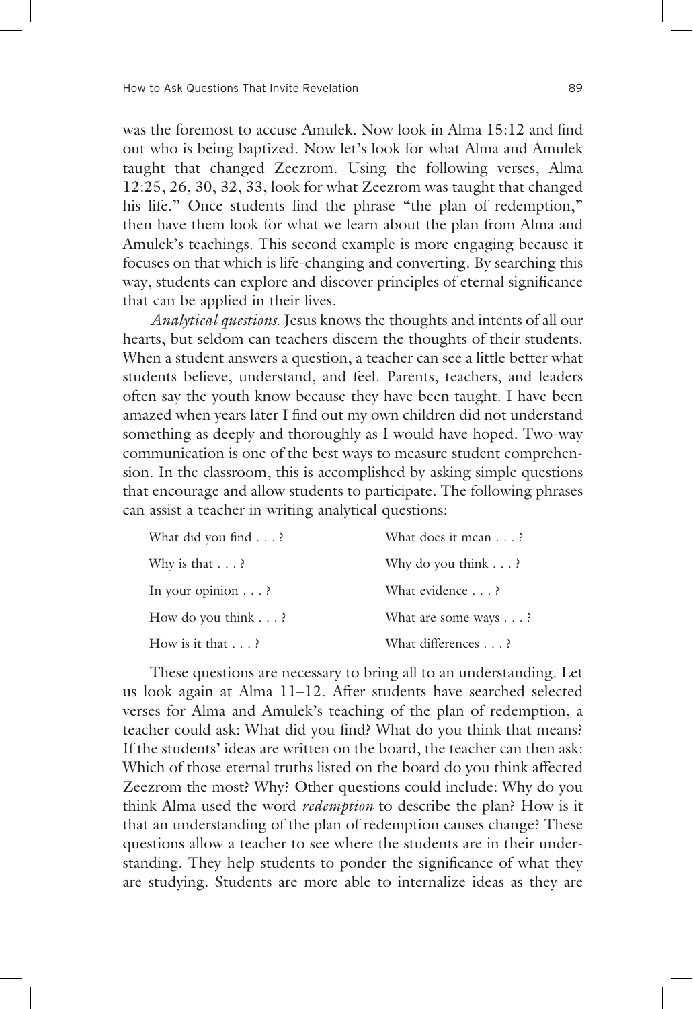was the foremost to accuse Amulek. Now look in Alma  $15:12$  and find out who is being baptized. Now let's look for what Alma and Amulek taught that changed Zeezrom. Using the following verses, Alma 12:25, 26, 30, 32, 33, look for what Zeezrom was taught that changed his life." Once students find the phrase "the plan of redemption," then have them look for what we learn about the plan from Alma and Amulek's teachings. This second example is more engaging because it focuses on that which is life-changing and converting. By searching this way, students can explore and discover principles of eternal significance that can be applied in their lives.

*Analytical questions*. Jesus knows the thoughts and intents of all our hearts, but seldom can teachers discern the thoughts of their students. When a student answers a question, a teacher can see a little better what students believe, understand, and feel. Parents, teachers, and leaders often say the youth know because they have been taught. I have been amazed when years later I find out my own children did not understand something as deeply and thoroughly as I would have hoped. Two-way communication is one of the best ways to measure student comprehension. In the classroom, this is accomplished by asking simple questions that encourage and allow students to participate. The following phrases can assist a teacher in writing analytical questions:

| What did you find $\ldots$ ? | What does it mean ?          |
|------------------------------|------------------------------|
| Why is that $\ldots$ ?       | Why do you think $\ldots$ ?  |
| In your opinion $\ldots$ ?   | What evidence ?              |
| How do you think $\ldots$ ?  | What are some ways $\dots$ ? |
| How is it that $\ldots$ ?    | What differences ?           |

 These questions are necessary to bring all to an understanding. Let us look again at Alma 11–12. After students have searched selected verses for Alma and Amulek's teaching of the plan of redemption, a teacher could ask: What did you find? What do you think that means? If the students' ideas are written on the board, the teacher can then ask: Which of those eternal truths listed on the board do you think affected Zeezrom the most? Why? Other questions could include: Why do you think Alma used the word *redemption* to describe the plan? How is it that an understanding of the plan of redemption causes change? These questions allow a teacher to see where the students are in their understanding. They help students to ponder the significance of what they are studying. Students are more able to internalize ideas as they are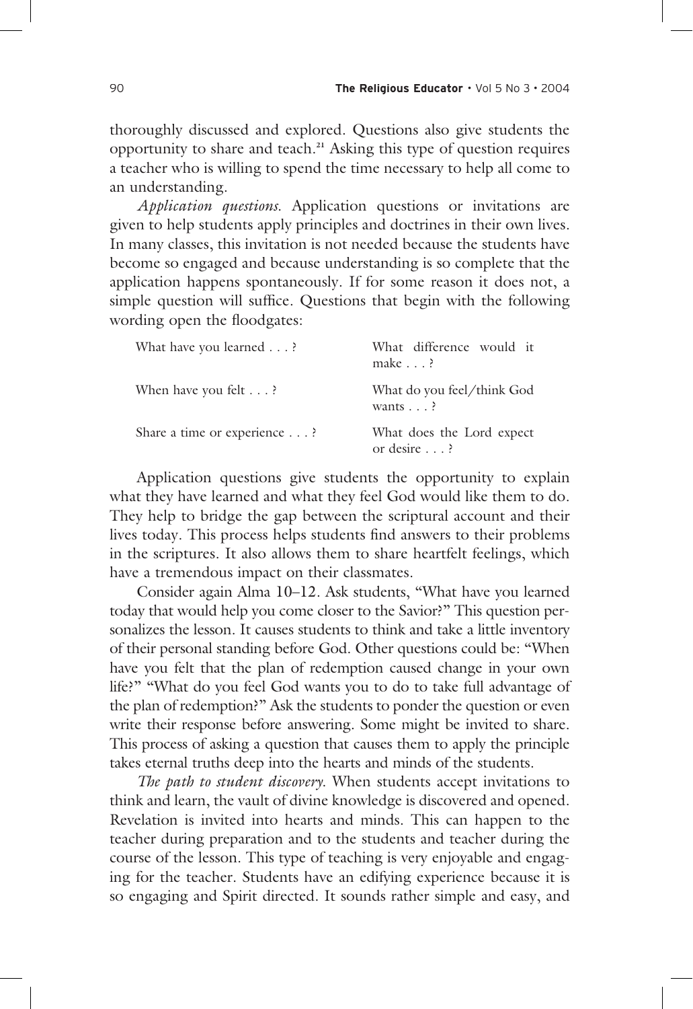thoroughly discussed and explored. Questions also give students the opportunity to share and teach.**21** Asking this type of question requires a teacher who is willing to spend the time necessary to help all come to an understanding.

*Application questions*. Application questions or invitations are given to help students apply principles and doctrines in their own lives. In many classes, this invitation is not needed because the students have become so engaged and because understanding is so complete that the application happens spontaneously. If for some reason it does not, a simple question will suffice. Questions that begin with the following wording open the floodgates:

| What have you learned ?      | What difference would it<br>make $\ldots$ ?       |
|------------------------------|---------------------------------------------------|
| When have you felt $\dots$ ? | What do you feel/think God<br>wants $\ldots$ ?    |
| Share a time or experience ? | What does the Lord expect<br>or desire $\ldots$ ? |

 Application questions give students the opportunity to explain what they have learned and what they feel God would like them to do. They help to bridge the gap between the scriptural account and their lives today. This process helps students find answers to their problems in the scriptures. It also allows them to share heartfelt feelings, which have a tremendous impact on their classmates.

 Consider again Alma 10–12. Ask students, "What have you learned today that would help you come closer to the Savior?" This question personalizes the lesson. It causes students to think and take a little inventory of their personal standing before God. Other questions could be: "When have you felt that the plan of redemption caused change in your own life?" "What do you feel God wants you to do to take full advantage of the plan of redemption?" Ask the students to ponder the question or even write their response before answering. Some might be invited to share. This process of asking a question that causes them to apply the principle takes eternal truths deep into the hearts and minds of the students.

*The path to student discovery*. When students accept invitations to think and learn, the vault of divine knowledge is discovered and opened. Revelation is invited into hearts and minds. This can happen to the teacher during preparation and to the students and teacher during the course of the lesson. This type of teaching is very enjoyable and engaging for the teacher. Students have an edifying experience because it is so engaging and Spirit directed. It sounds rather simple and easy, and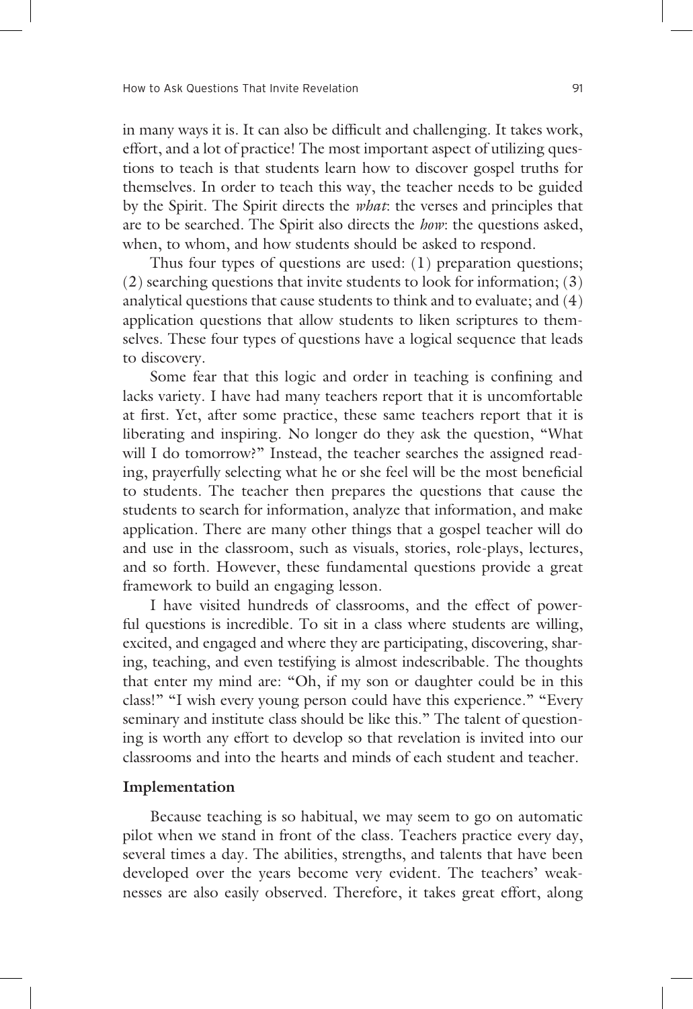in many ways it is. It can also be difficult and challenging. It takes work, effort, and a lot of practice! The most important aspect of utilizing questions to teach is that students learn how to discover gospel truths for themselves. In order to teach this way, the teacher needs to be guided by the Spirit. The Spirit directs the *what*: the verses and principles that are to be searched. The Spirit also directs the *how*: the questions asked, when, to whom, and how students should be asked to respond.

 Thus four types of questions are used: (1) preparation questions; (2) searching questions that invite students to look for information; (3) analytical questions that cause students to think and to evaluate; and (4) application questions that allow students to liken scriptures to themselves. These four types of questions have a logical sequence that leads to discovery.

Some fear that this logic and order in teaching is confining and lacks variety. I have had many teachers report that it is uncomfortable at first. Yet, after some practice, these same teachers report that it is liberating and inspiring. No longer do they ask the question, "What will I do tomorrow?" Instead, the teacher searches the assigned reading, prayerfully selecting what he or she feel will be the most beneficial to students. The teacher then prepares the questions that cause the students to search for information, analyze that information, and make application. There are many other things that a gospel teacher will do and use in the classroom, such as visuals, stories, role-plays, lectures, and so forth. However, these fundamental questions provide a great framework to build an engaging lesson.

 I have visited hundreds of classrooms, and the effect of powerful questions is incredible. To sit in a class where students are willing, excited, and engaged and where they are participating, discovering, sharing, teaching, and even testifying is almost indescribable. The thoughts that enter my mind are: "Oh, if my son or daughter could be in this class!" "I wish every young person could have this experience." "Every seminary and institute class should be like this." The talent of questioning is worth any effort to develop so that revelation is invited into our classrooms and into the hearts and minds of each student and teacher.

## **Implementation**

 Because teaching is so habitual, we may seem to go on automatic pilot when we stand in front of the class. Teachers practice every day, several times a day. The abilities, strengths, and talents that have been developed over the years become very evident. The teachers' weaknesses are also easily observed. Therefore, it takes great effort, along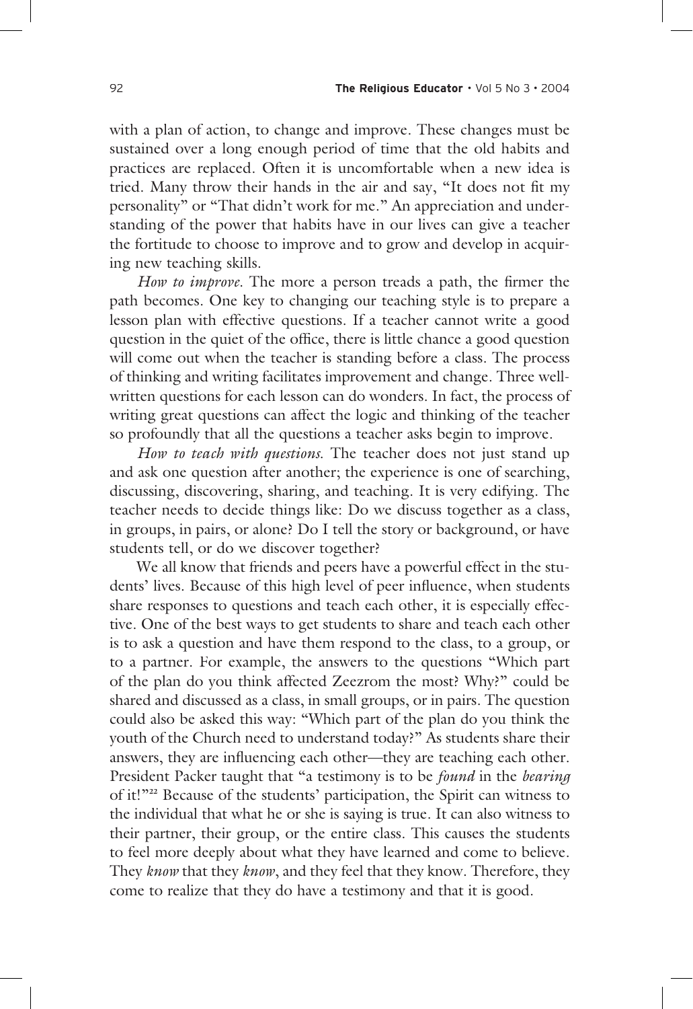with a plan of action, to change and improve. These changes must be sustained over a long enough period of time that the old habits and practices are replaced. Often it is uncomfortable when a new idea is tried. Many throw their hands in the air and say, "It does not fit my personality" or "That didn't work for me." An appreciation and understanding of the power that habits have in our lives can give a teacher the fortitude to choose to improve and to grow and develop in acquiring new teaching skills.

*How to improve*. The more a person treads a path, the firmer the path becomes. One key to changing our teaching style is to prepare a lesson plan with effective questions. If a teacher cannot write a good question in the quiet of the office, there is little chance a good question will come out when the teacher is standing before a class. The process of thinking and writing facilitates improvement and change. Three wellwritten questions for each lesson can do wonders. In fact, the process of writing great questions can affect the logic and thinking of the teacher so profoundly that all the questions a teacher asks begin to improve.

*How to teach with questions*. The teacher does not just stand up and ask one question after another; the experience is one of searching, discussing, discovering, sharing, and teaching. It is very edifying. The teacher needs to decide things like: Do we discuss together as a class, in groups, in pairs, or alone? Do I tell the story or background, or have students tell, or do we discover together?

 We all know that friends and peers have a powerful effect in the students' lives. Because of this high level of peer influence, when students share responses to questions and teach each other, it is especially effective. One of the best ways to get students to share and teach each other is to ask a question and have them respond to the class, to a group, or to a partner. For example, the answers to the questions "Which part of the plan do you think affected Zeezrom the most? Why?" could be shared and discussed as a class, in small groups, or in pairs. The question could also be asked this way: "Which part of the plan do you think the youth of the Church need to understand today?" As students share their answers, they are influencing each other—they are teaching each other. President Packer taught that "a testimony is to be *found* in the*bearing* of it!"**22** Because of the students' participation, the Spirit can witness to the individual that what he or she is saying is true. It can also witness to their partner, their group, or the entire class. This causes the students to feel more deeply about what they have learned and come to believe. They *know* that they *know*, and they feel that they know. Therefore, they come to realize that they do have a testimony and that it is good.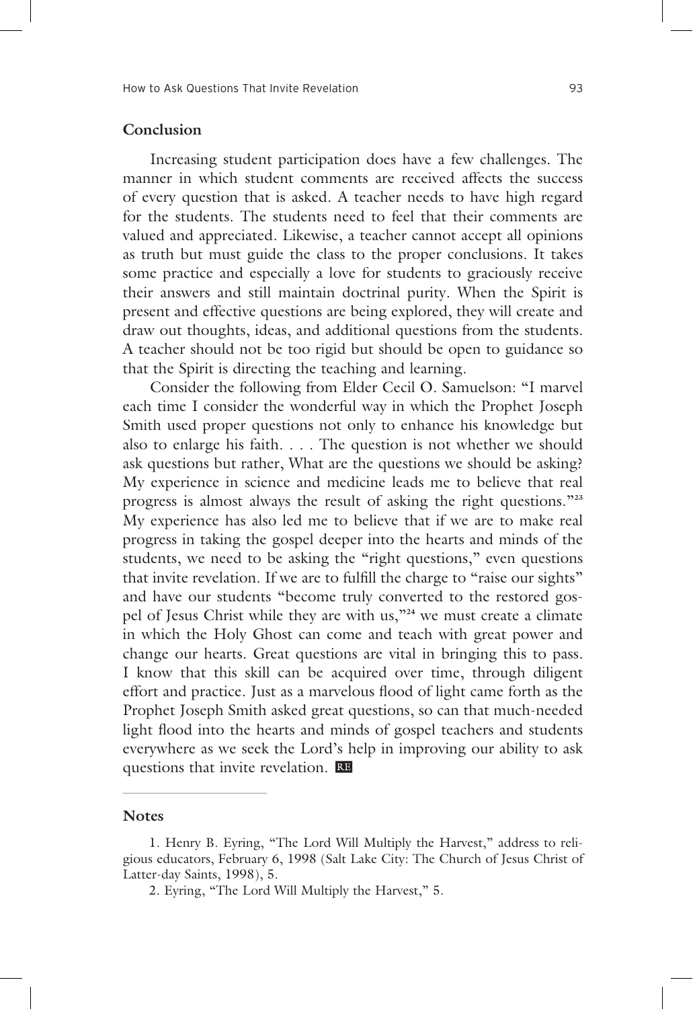## **Conclusion**

 Increasing student participation does have a few challenges. The manner in which student comments are received affects the success of every question that is asked. A teacher needs to have high regard for the students. The students need to feel that their comments are valued and appreciated. Likewise, a teacher cannot accept all opinions as truth but must guide the class to the proper conclusions. It takes some practice and especially a love for students to graciously receive their answers and still maintain doctrinal purity. When the Spirit is present and effective questions are being explored, they will create and draw out thoughts, ideas, and additional questions from the students. A teacher should not be too rigid but should be open to guidance so that the Spirit is directing the teaching and learning.

 Consider the following from Elder Cecil O. Samuelson: "I marvel each time I consider the wonderful way in which the Prophet Joseph Smith used proper questions not only to enhance his knowledge but also to enlarge his faith. . . . The question is not whether we should ask questions but rather, What are the questions we should be asking? My experience in science and medicine leads me to believe that real progress is almost always the result of asking the right questions."**<sup>23</sup>** My experience has also led me to believe that if we are to make real progress in taking the gospel deeper into the hearts and minds of the students, we need to be asking the "right questions," even questions that invite revelation. If we are to fulfill the charge to "raise our sights" and have our students "become truly converted to the restored gospel of Jesus Christ while they are with us,"**24** we must create a climate in which the Holy Ghost can come and teach with great power and change our hearts. Great questions are vital in bringing this to pass. I know that this skill can be acquired over time, through diligent effort and practice. Just as a marvelous flood of light came forth as the Prophet Joseph Smith asked great questions, so can that much-needed light flood into the hearts and minds of gospel teachers and students everywhere as we seek the Lord's help in improving our ability to ask questions that invite revelation. RE

#### **Notes**

<sup>1.</sup> Henry B. Eyring, "The Lord Will Multiply the Harvest," address to religious educators, February 6, 1998 (Salt Lake City: The Church of Jesus Christ of Latter-day Saints, 1998), 5.

<sup>2.</sup> Eyring, "The Lord Will Multiply the Harvest," 5.